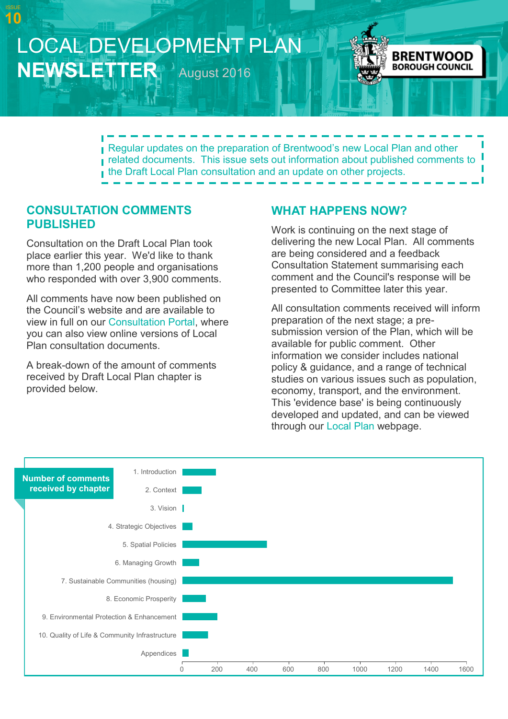# LOCAL DEVELOPMENT PLAN **NEWSLETTER** August 2016



Regular updates on the preparation of Brentwood's new Local Plan and other related documents. This issue sets out information about published comments to the Draft Local Plan consultation and an update on other projects.

#### **CONSULTATION COMMENTS PUBLISHED**

**10**

Consultation on the Draft Local Plan took place earlier this year. We'd like to thank more than 1,200 people and organisations who responded with over 3,900 comments.

All comments have now been published on the Council's website and are available to view in full on our [Consultation Portal,](http://brentwood.jdi-consult.net/localplan/index.php) where you can also view online versions of Local Plan consultation documents.

A break-down of the amount of comments received by Draft Local Plan chapter is provided below.

## **WHAT HAPPENS NOW?**

Work is continuing on the next stage of delivering the new Local Plan. All comments are being considered and a feedback Consultation Statement summarising each comment and the Council's response will be presented to Committee later this year.

All consultation comments received will inform preparation of the next stage; a presubmission version of the Plan, which will be available for public comment. Other information we consider includes national policy & guidance, and a range of technical studies on various issues such as population, economy, transport, and the environment. This 'evidence base' is being continuously developed and updated, and can be viewed through our [Local Plan](http://www.brentwood.gov.uk/index.php?cid=694) webpage.